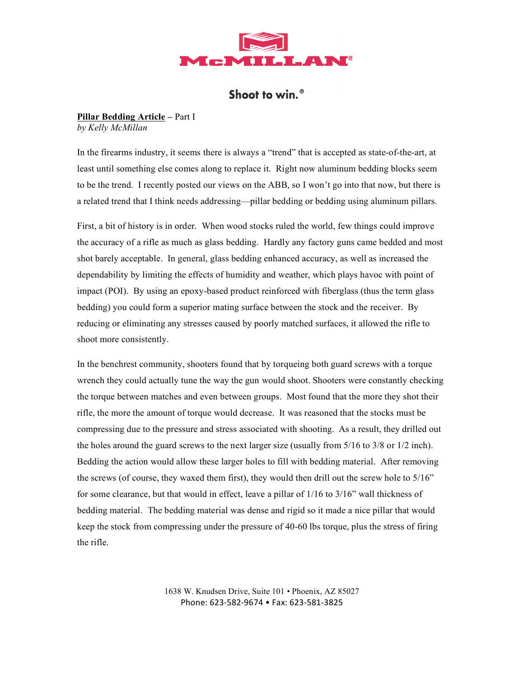

# Shoot to win.<sup>®</sup>

# **Pillar Bedding Article –** Part I *by Kelly McMillan*

In the firearms industry, it seems there is always a "trend" that is accepted as state-of-the-art, at least until something else comes along to replace it. Right now aluminum bedding blocks seem to be the trend. I recently posted our views on the ABB, so I won't go into that now, but there is a related trend that I think needs addressing—pillar bedding or bedding using aluminum pillars.

First, a bit of history is in order. When wood stocks ruled the world, few things could improve the accuracy of a rifle as much as glass bedding. Hardly any factory guns came bedded and most shot barely acceptable. In general, glass bedding enhanced accuracy, as well as increased the dependability by limiting the effects of humidity and weather, which plays havoc with point of impact (POI). By using an epoxy-based product reinforced with fiberglass (thus the term glass bedding) you could form a superior mating surface between the stock and the receiver. By reducing or eliminating any stresses caused by poorly matched surfaces, it allowed the rifle to shoot more consistently.

In the benchrest community, shooters found that by torqueing both guard screws with a torque wrench they could actually tune the way the gun would shoot. Shooters were constantly checking the torque between matches and even between groups. Most found that the more they shot their rifle, the more the amount of torque would decrease. It was reasoned that the stocks must be compressing due to the pressure and stress associated with shooting. As a result, they drilled out the holes around the guard screws to the next larger size (usually from 5/16 to 3/8 or 1/2 inch). Bedding the action would allow these larger holes to fill with bedding material. After removing the screws (of course, they waxed them first), they would then drill out the screw hole to 5/16" for some clearance, but that would in effect, leave a pillar of 1/16 to 3/16" wall thickness of bedding material. The bedding material was dense and rigid so it made a nice pillar that would keep the stock from compressing under the pressure of 40-60 lbs torque, plus the stress of firing the rifle.

> 1638 W. Knudsen Drive, Suite 101 • Phoenix, AZ 85027 Phone:
> 623‐582‐9674
> •
> Fax:
> 623‐581‐3825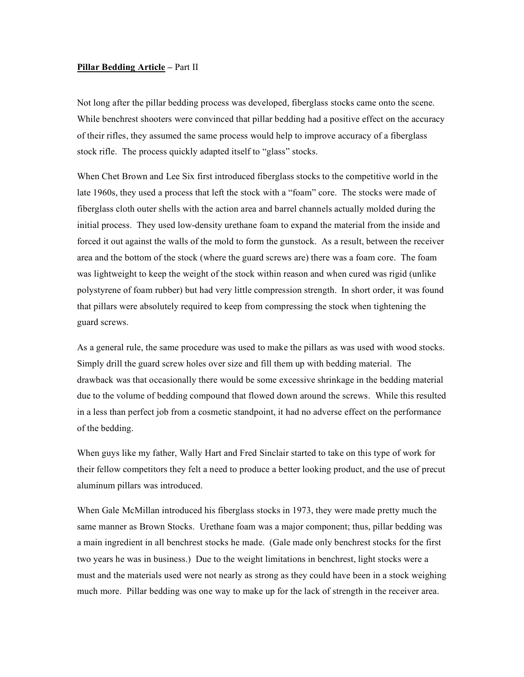# **Pillar Bedding Article –** Part II

Not long after the pillar bedding process was developed, fiberglass stocks came onto the scene. While benchrest shooters were convinced that pillar bedding had a positive effect on the accuracy of their rifles, they assumed the same process would help to improve accuracy of a fiberglass stock rifle. The process quickly adapted itself to "glass" stocks.

When Chet Brown and Lee Six first introduced fiberglass stocks to the competitive world in the late 1960s, they used a process that left the stock with a "foam" core. The stocks were made of fiberglass cloth outer shells with the action area and barrel channels actually molded during the initial process. They used low-density urethane foam to expand the material from the inside and forced it out against the walls of the mold to form the gunstock. As a result, between the receiver area and the bottom of the stock (where the guard screws are) there was a foam core. The foam was lightweight to keep the weight of the stock within reason and when cured was rigid (unlike polystyrene of foam rubber) but had very little compression strength. In short order, it was found that pillars were absolutely required to keep from compressing the stock when tightening the guard screws.

As a general rule, the same procedure was used to make the pillars as was used with wood stocks. Simply drill the guard screw holes over size and fill them up with bedding material. The drawback was that occasionally there would be some excessive shrinkage in the bedding material due to the volume of bedding compound that flowed down around the screws. While this resulted in a less than perfect job from a cosmetic standpoint, it had no adverse effect on the performance of the bedding.

When guys like my father, Wally Hart and Fred Sinclair started to take on this type of work for their fellow competitors they felt a need to produce a better looking product, and the use of precut aluminum pillars was introduced.

When Gale McMillan introduced his fiberglass stocks in 1973, they were made pretty much the same manner as Brown Stocks. Urethane foam was a major component; thus, pillar bedding was a main ingredient in all benchrest stocks he made. (Gale made only benchrest stocks for the first two years he was in business.) Due to the weight limitations in benchrest, light stocks were a must and the materials used were not nearly as strong as they could have been in a stock weighing much more. Pillar bedding was one way to make up for the lack of strength in the receiver area.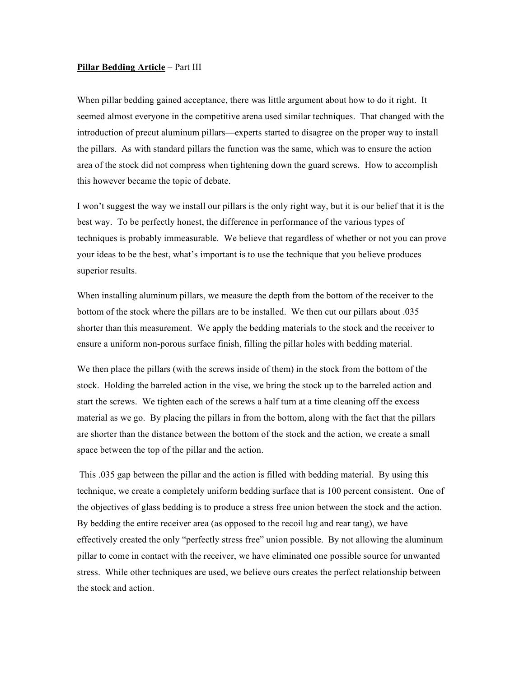# **Pillar Bedding Article –** Part III

When pillar bedding gained acceptance, there was little argument about how to do it right. It seemed almost everyone in the competitive arena used similar techniques. That changed with the introduction of precut aluminum pillars—experts started to disagree on the proper way to install the pillars. As with standard pillars the function was the same, which was to ensure the action area of the stock did not compress when tightening down the guard screws. How to accomplish this however became the topic of debate.

I won't suggest the way we install our pillars is the only right way, but it is our belief that it is the best way. To be perfectly honest, the difference in performance of the various types of techniques is probably immeasurable. We believe that regardless of whether or not you can prove your ideas to be the best, what's important is to use the technique that you believe produces superior results.

When installing aluminum pillars, we measure the depth from the bottom of the receiver to the bottom of the stock where the pillars are to be installed. We then cut our pillars about .035 shorter than this measurement. We apply the bedding materials to the stock and the receiver to ensure a uniform non-porous surface finish, filling the pillar holes with bedding material.

We then place the pillars (with the screws inside of them) in the stock from the bottom of the stock. Holding the barreled action in the vise, we bring the stock up to the barreled action and start the screws. We tighten each of the screws a half turn at a time cleaning off the excess material as we go. By placing the pillars in from the bottom, along with the fact that the pillars are shorter than the distance between the bottom of the stock and the action, we create a small space between the top of the pillar and the action.

 This .035 gap between the pillar and the action is filled with bedding material. By using this technique, we create a completely uniform bedding surface that is 100 percent consistent. One of the objectives of glass bedding is to produce a stress free union between the stock and the action. By bedding the entire receiver area (as opposed to the recoil lug and rear tang), we have effectively created the only "perfectly stress free" union possible. By not allowing the aluminum pillar to come in contact with the receiver, we have eliminated one possible source for unwanted stress. While other techniques are used, we believe ours creates the perfect relationship between the stock and action.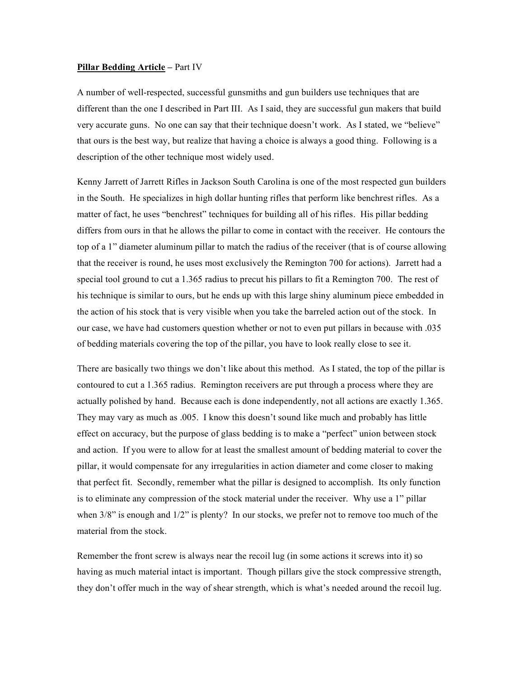#### **Pillar Bedding Article –** Part IV

A number of well-respected, successful gunsmiths and gun builders use techniques that are different than the one I described in Part III. As I said, they are successful gun makers that build very accurate guns. No one can say that their technique doesn't work. As I stated, we "believe" that ours is the best way, but realize that having a choice is always a good thing. Following is a description of the other technique most widely used.

Kenny Jarrett of Jarrett Rifles in Jackson South Carolina is one of the most respected gun builders in the South. He specializes in high dollar hunting rifles that perform like benchrest rifles. As a matter of fact, he uses "benchrest" techniques for building all of his rifles. His pillar bedding differs from ours in that he allows the pillar to come in contact with the receiver. He contours the top of a 1" diameter aluminum pillar to match the radius of the receiver (that is of course allowing that the receiver is round, he uses most exclusively the Remington 700 for actions). Jarrett had a special tool ground to cut a 1.365 radius to precut his pillars to fit a Remington 700. The rest of his technique is similar to ours, but he ends up with this large shiny aluminum piece embedded in the action of his stock that is very visible when you take the barreled action out of the stock. In our case, we have had customers question whether or not to even put pillars in because with .035 of bedding materials covering the top of the pillar, you have to look really close to see it.

There are basically two things we don't like about this method. As I stated, the top of the pillar is contoured to cut a 1.365 radius. Remington receivers are put through a process where they are actually polished by hand. Because each is done independently, not all actions are exactly 1.365. They may vary as much as .005. I know this doesn't sound like much and probably has little effect on accuracy, but the purpose of glass bedding is to make a "perfect" union between stock and action. If you were to allow for at least the smallest amount of bedding material to cover the pillar, it would compensate for any irregularities in action diameter and come closer to making that perfect fit. Secondly, remember what the pillar is designed to accomplish. Its only function is to eliminate any compression of the stock material under the receiver. Why use a 1" pillar when  $3/8$ " is enough and  $1/2$ " is plenty? In our stocks, we prefer not to remove too much of the material from the stock.

Remember the front screw is always near the recoil lug (in some actions it screws into it) so having as much material intact is important. Though pillars give the stock compressive strength, they don't offer much in the way of shear strength, which is what's needed around the recoil lug.